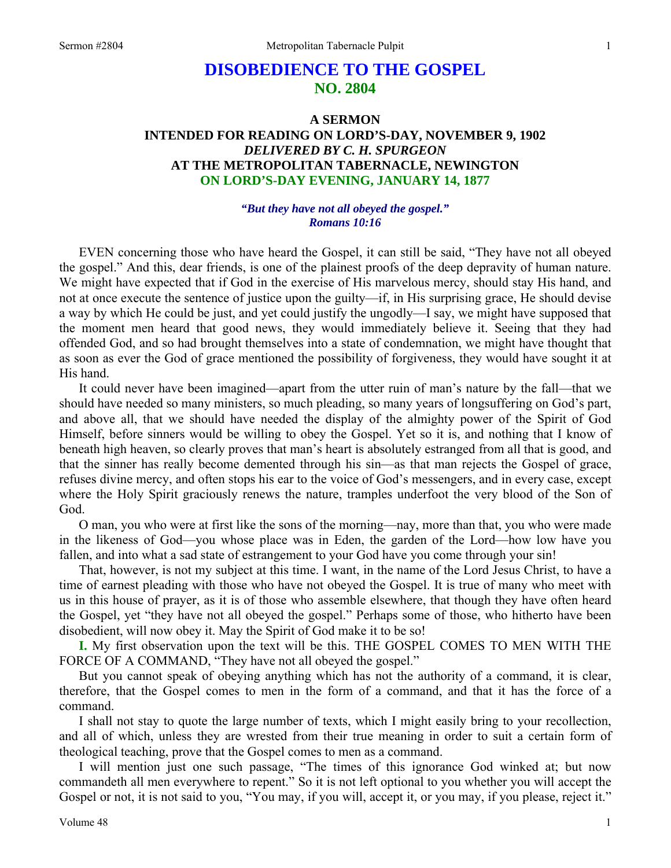# **DISOBEDIENCE TO THE GOSPEL NO. 2804**

## **A SERMON INTENDED FOR READING ON LORD'S-DAY, NOVEMBER 9, 1902**  *DELIVERED BY C. H. SPURGEON*  **AT THE METROPOLITAN TABERNACLE, NEWINGTON ON LORD'S-DAY EVENING, JANUARY 14, 1877**

#### *"But they have not all obeyed the gospel." Romans 10:16*

EVEN concerning those who have heard the Gospel, it can still be said, "They have not all obeyed the gospel." And this, dear friends, is one of the plainest proofs of the deep depravity of human nature. We might have expected that if God in the exercise of His marvelous mercy, should stay His hand, and not at once execute the sentence of justice upon the guilty—if, in His surprising grace, He should devise a way by which He could be just, and yet could justify the ungodly—I say, we might have supposed that the moment men heard that good news, they would immediately believe it. Seeing that they had offended God, and so had brought themselves into a state of condemnation, we might have thought that as soon as ever the God of grace mentioned the possibility of forgiveness, they would have sought it at His hand.

It could never have been imagined—apart from the utter ruin of man's nature by the fall—that we should have needed so many ministers, so much pleading, so many years of longsuffering on God's part, and above all, that we should have needed the display of the almighty power of the Spirit of God Himself, before sinners would be willing to obey the Gospel. Yet so it is, and nothing that I know of beneath high heaven, so clearly proves that man's heart is absolutely estranged from all that is good, and that the sinner has really become demented through his sin—as that man rejects the Gospel of grace, refuses divine mercy, and often stops his ear to the voice of God's messengers, and in every case, except where the Holy Spirit graciously renews the nature, tramples underfoot the very blood of the Son of God.

O man, you who were at first like the sons of the morning—nay, more than that, you who were made in the likeness of God—you whose place was in Eden, the garden of the Lord—how low have you fallen, and into what a sad state of estrangement to your God have you come through your sin!

That, however, is not my subject at this time. I want, in the name of the Lord Jesus Christ, to have a time of earnest pleading with those who have not obeyed the Gospel. It is true of many who meet with us in this house of prayer, as it is of those who assemble elsewhere, that though they have often heard the Gospel, yet "they have not all obeyed the gospel." Perhaps some of those, who hitherto have been disobedient, will now obey it. May the Spirit of God make it to be so!

**I.** My first observation upon the text will be this. THE GOSPEL COMES TO MEN WITH THE FORCE OF A COMMAND, "They have not all obeyed the gospel."

But you cannot speak of obeying anything which has not the authority of a command, it is clear, therefore, that the Gospel comes to men in the form of a command, and that it has the force of a command.

I shall not stay to quote the large number of texts, which I might easily bring to your recollection, and all of which, unless they are wrested from their true meaning in order to suit a certain form of theological teaching, prove that the Gospel comes to men as a command.

I will mention just one such passage, "The times of this ignorance God winked at; but now commandeth all men everywhere to repent." So it is not left optional to you whether you will accept the Gospel or not, it is not said to you, "You may, if you will, accept it, or you may, if you please, reject it."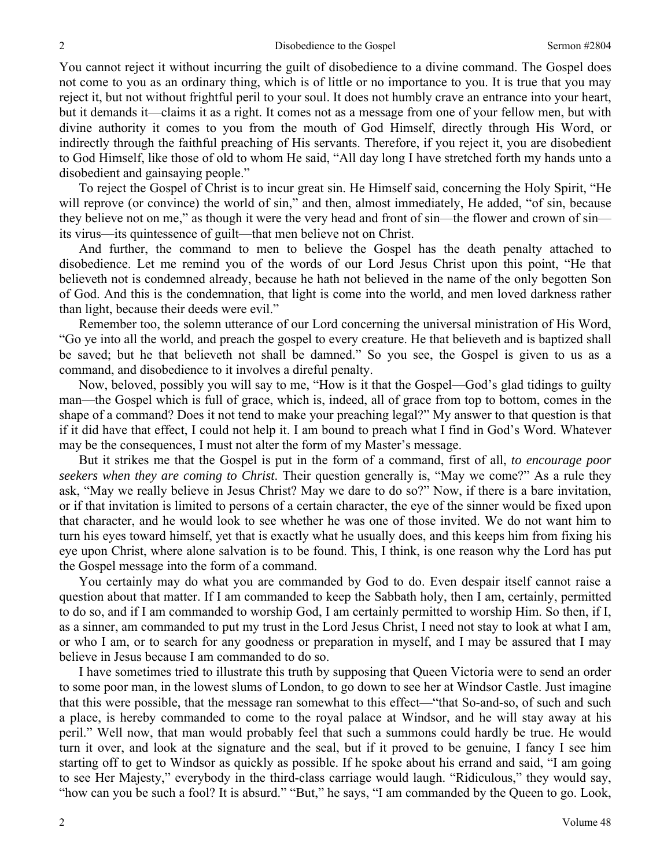You cannot reject it without incurring the guilt of disobedience to a divine command. The Gospel does not come to you as an ordinary thing, which is of little or no importance to you. It is true that you may reject it, but not without frightful peril to your soul. It does not humbly crave an entrance into your heart, but it demands it—claims it as a right. It comes not as a message from one of your fellow men, but with divine authority it comes to you from the mouth of God Himself, directly through His Word, or indirectly through the faithful preaching of His servants. Therefore, if you reject it, you are disobedient to God Himself, like those of old to whom He said, "All day long I have stretched forth my hands unto a disobedient and gainsaying people."

To reject the Gospel of Christ is to incur great sin. He Himself said, concerning the Holy Spirit, "He will reprove (or convince) the world of sin," and then, almost immediately, He added, "of sin, because they believe not on me," as though it were the very head and front of sin—the flower and crown of sin its virus—its quintessence of guilt—that men believe not on Christ.

And further, the command to men to believe the Gospel has the death penalty attached to disobedience. Let me remind you of the words of our Lord Jesus Christ upon this point, "He that believeth not is condemned already, because he hath not believed in the name of the only begotten Son of God. And this is the condemnation, that light is come into the world, and men loved darkness rather than light, because their deeds were evil."

Remember too, the solemn utterance of our Lord concerning the universal ministration of His Word, "Go ye into all the world, and preach the gospel to every creature. He that believeth and is baptized shall be saved; but he that believeth not shall be damned." So you see, the Gospel is given to us as a command, and disobedience to it involves a direful penalty.

Now, beloved, possibly you will say to me, "How is it that the Gospel—God's glad tidings to guilty man—the Gospel which is full of grace, which is, indeed, all of grace from top to bottom, comes in the shape of a command? Does it not tend to make your preaching legal?" My answer to that question is that if it did have that effect, I could not help it. I am bound to preach what I find in God's Word. Whatever may be the consequences, I must not alter the form of my Master's message.

But it strikes me that the Gospel is put in the form of a command, first of all, *to encourage poor seekers when they are coming to Christ*. Their question generally is, "May we come?" As a rule they ask, "May we really believe in Jesus Christ? May we dare to do so?" Now, if there is a bare invitation, or if that invitation is limited to persons of a certain character, the eye of the sinner would be fixed upon that character, and he would look to see whether he was one of those invited. We do not want him to turn his eyes toward himself, yet that is exactly what he usually does, and this keeps him from fixing his eye upon Christ, where alone salvation is to be found. This, I think, is one reason why the Lord has put the Gospel message into the form of a command.

You certainly may do what you are commanded by God to do. Even despair itself cannot raise a question about that matter. If I am commanded to keep the Sabbath holy, then I am, certainly, permitted to do so, and if I am commanded to worship God, I am certainly permitted to worship Him. So then, if I, as a sinner, am commanded to put my trust in the Lord Jesus Christ, I need not stay to look at what I am, or who I am, or to search for any goodness or preparation in myself, and I may be assured that I may believe in Jesus because I am commanded to do so.

I have sometimes tried to illustrate this truth by supposing that Queen Victoria were to send an order to some poor man, in the lowest slums of London, to go down to see her at Windsor Castle. Just imagine that this were possible, that the message ran somewhat to this effect—"that So-and-so, of such and such a place, is hereby commanded to come to the royal palace at Windsor, and he will stay away at his peril." Well now, that man would probably feel that such a summons could hardly be true. He would turn it over, and look at the signature and the seal, but if it proved to be genuine, I fancy I see him starting off to get to Windsor as quickly as possible. If he spoke about his errand and said, "I am going to see Her Majesty," everybody in the third-class carriage would laugh. "Ridiculous," they would say, "how can you be such a fool? It is absurd." "But," he says, "I am commanded by the Queen to go. Look,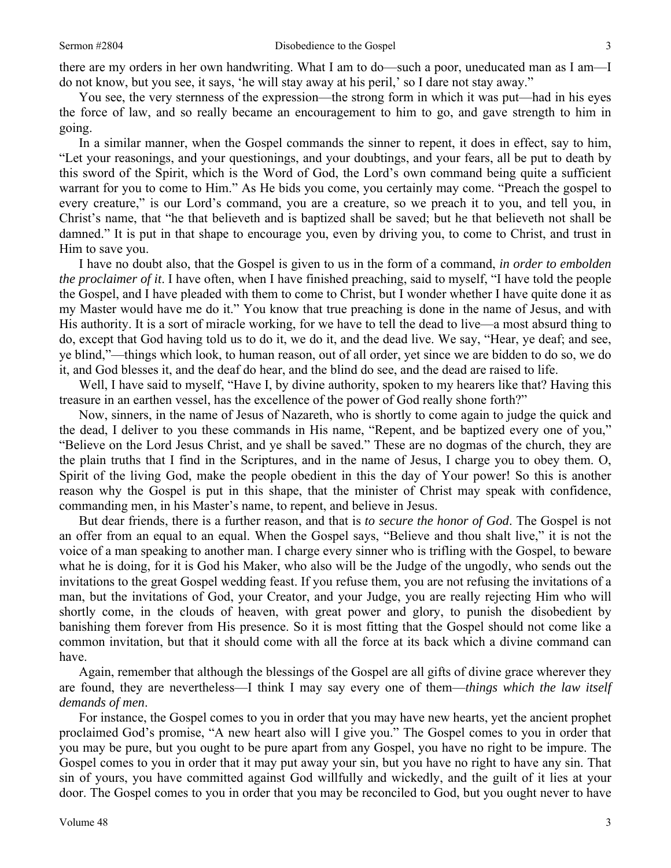there are my orders in her own handwriting. What I am to do—such a poor, uneducated man as I am—I do not know, but you see, it says, 'he will stay away at his peril,' so I dare not stay away."

You see, the very sternness of the expression—the strong form in which it was put—had in his eyes the force of law, and so really became an encouragement to him to go, and gave strength to him in going.

In a similar manner, when the Gospel commands the sinner to repent, it does in effect, say to him, "Let your reasonings, and your questionings, and your doubtings, and your fears, all be put to death by this sword of the Spirit, which is the Word of God, the Lord's own command being quite a sufficient warrant for you to come to Him." As He bids you come, you certainly may come. "Preach the gospel to every creature," is our Lord's command, you are a creature, so we preach it to you, and tell you, in Christ's name, that "he that believeth and is baptized shall be saved; but he that believeth not shall be damned." It is put in that shape to encourage you, even by driving you, to come to Christ, and trust in Him to save you.

I have no doubt also, that the Gospel is given to us in the form of a command, *in order to embolden the proclaimer of it*. I have often, when I have finished preaching, said to myself, "I have told the people the Gospel, and I have pleaded with them to come to Christ, but I wonder whether I have quite done it as my Master would have me do it." You know that true preaching is done in the name of Jesus, and with His authority. It is a sort of miracle working, for we have to tell the dead to live—a most absurd thing to do, except that God having told us to do it, we do it, and the dead live. We say, "Hear, ye deaf; and see, ye blind,"—things which look, to human reason, out of all order, yet since we are bidden to do so, we do it, and God blesses it, and the deaf do hear, and the blind do see, and the dead are raised to life.

Well, I have said to myself, "Have I, by divine authority, spoken to my hearers like that? Having this treasure in an earthen vessel, has the excellence of the power of God really shone forth?"

Now, sinners, in the name of Jesus of Nazareth, who is shortly to come again to judge the quick and the dead, I deliver to you these commands in His name, "Repent, and be baptized every one of you," "Believe on the Lord Jesus Christ, and ye shall be saved." These are no dogmas of the church, they are the plain truths that I find in the Scriptures, and in the name of Jesus, I charge you to obey them. O, Spirit of the living God, make the people obedient in this the day of Your power! So this is another reason why the Gospel is put in this shape, that the minister of Christ may speak with confidence, commanding men, in his Master's name, to repent, and believe in Jesus.

But dear friends, there is a further reason, and that is *to secure the honor of God*. The Gospel is not an offer from an equal to an equal. When the Gospel says, "Believe and thou shalt live," it is not the voice of a man speaking to another man. I charge every sinner who is trifling with the Gospel, to beware what he is doing, for it is God his Maker, who also will be the Judge of the ungodly, who sends out the invitations to the great Gospel wedding feast. If you refuse them, you are not refusing the invitations of a man, but the invitations of God, your Creator, and your Judge, you are really rejecting Him who will shortly come, in the clouds of heaven, with great power and glory, to punish the disobedient by banishing them forever from His presence. So it is most fitting that the Gospel should not come like a common invitation, but that it should come with all the force at its back which a divine command can have.

Again, remember that although the blessings of the Gospel are all gifts of divine grace wherever they are found, they are nevertheless—I think I may say every one of them—*things which the law itself demands of men*.

For instance, the Gospel comes to you in order that you may have new hearts, yet the ancient prophet proclaimed God's promise, "A new heart also will I give you." The Gospel comes to you in order that you may be pure, but you ought to be pure apart from any Gospel, you have no right to be impure. The Gospel comes to you in order that it may put away your sin, but you have no right to have any sin. That sin of yours, you have committed against God willfully and wickedly, and the guilt of it lies at your door. The Gospel comes to you in order that you may be reconciled to God, but you ought never to have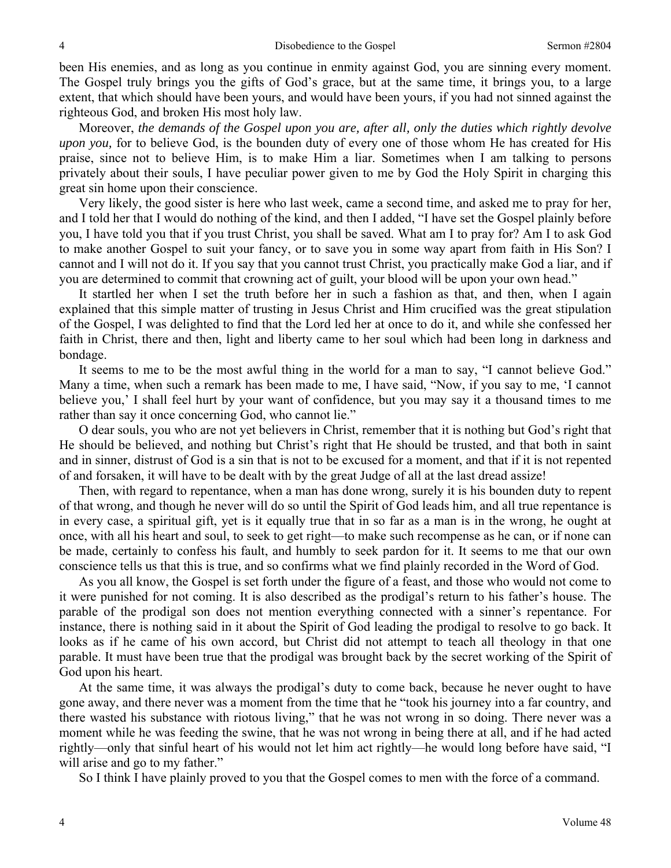been His enemies, and as long as you continue in enmity against God, you are sinning every moment. The Gospel truly brings you the gifts of God's grace, but at the same time, it brings you, to a large extent, that which should have been yours, and would have been yours, if you had not sinned against the righteous God, and broken His most holy law.

Moreover, *the demands of the Gospel upon you are, after all, only the duties which rightly devolve upon you,* for to believe God, is the bounden duty of every one of those whom He has created for His praise, since not to believe Him, is to make Him a liar. Sometimes when I am talking to persons privately about their souls, I have peculiar power given to me by God the Holy Spirit in charging this great sin home upon their conscience.

Very likely, the good sister is here who last week, came a second time, and asked me to pray for her, and I told her that I would do nothing of the kind, and then I added, "I have set the Gospel plainly before you, I have told you that if you trust Christ, you shall be saved. What am I to pray for? Am I to ask God to make another Gospel to suit your fancy, or to save you in some way apart from faith in His Son? I cannot and I will not do it. If you say that you cannot trust Christ, you practically make God a liar, and if you are determined to commit that crowning act of guilt, your blood will be upon your own head."

It startled her when I set the truth before her in such a fashion as that, and then, when I again explained that this simple matter of trusting in Jesus Christ and Him crucified was the great stipulation of the Gospel, I was delighted to find that the Lord led her at once to do it, and while she confessed her faith in Christ, there and then, light and liberty came to her soul which had been long in darkness and bondage.

It seems to me to be the most awful thing in the world for a man to say, "I cannot believe God." Many a time, when such a remark has been made to me, I have said, "Now, if you say to me, 'I cannot believe you,' I shall feel hurt by your want of confidence, but you may say it a thousand times to me rather than say it once concerning God, who cannot lie."

O dear souls, you who are not yet believers in Christ, remember that it is nothing but God's right that He should be believed, and nothing but Christ's right that He should be trusted, and that both in saint and in sinner, distrust of God is a sin that is not to be excused for a moment, and that if it is not repented of and forsaken, it will have to be dealt with by the great Judge of all at the last dread assize!

Then, with regard to repentance, when a man has done wrong, surely it is his bounden duty to repent of that wrong, and though he never will do so until the Spirit of God leads him, and all true repentance is in every case, a spiritual gift, yet is it equally true that in so far as a man is in the wrong, he ought at once, with all his heart and soul, to seek to get right—to make such recompense as he can, or if none can be made, certainly to confess his fault, and humbly to seek pardon for it. It seems to me that our own conscience tells us that this is true, and so confirms what we find plainly recorded in the Word of God.

As you all know, the Gospel is set forth under the figure of a feast, and those who would not come to it were punished for not coming. It is also described as the prodigal's return to his father's house. The parable of the prodigal son does not mention everything connected with a sinner's repentance. For instance, there is nothing said in it about the Spirit of God leading the prodigal to resolve to go back. It looks as if he came of his own accord, but Christ did not attempt to teach all theology in that one parable. It must have been true that the prodigal was brought back by the secret working of the Spirit of God upon his heart.

At the same time, it was always the prodigal's duty to come back, because he never ought to have gone away, and there never was a moment from the time that he "took his journey into a far country, and there wasted his substance with riotous living," that he was not wrong in so doing. There never was a moment while he was feeding the swine, that he was not wrong in being there at all, and if he had acted rightly—only that sinful heart of his would not let him act rightly—he would long before have said, "I will arise and go to my father."

So I think I have plainly proved to you that the Gospel comes to men with the force of a command.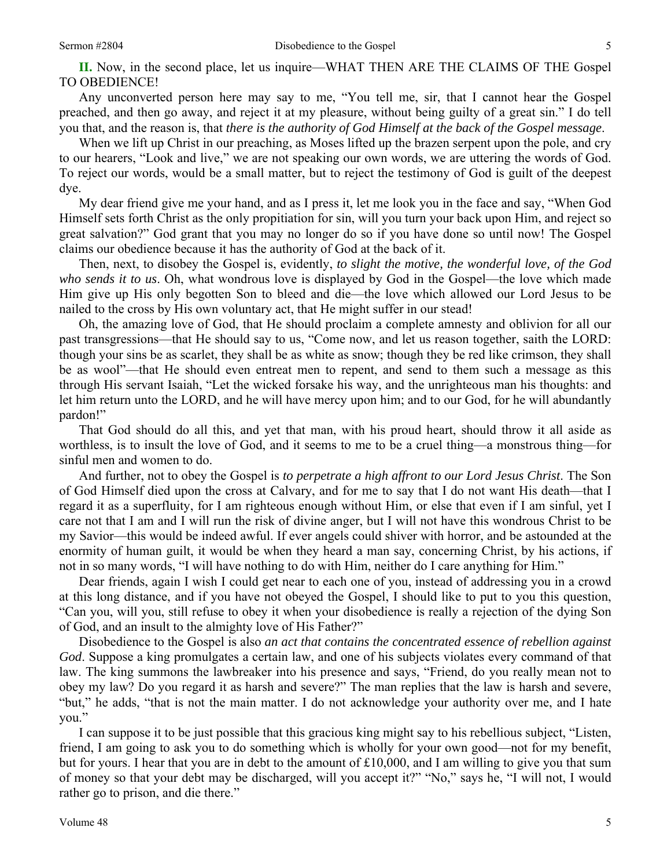**II.** Now, in the second place, let us inquire—WHAT THEN ARE THE CLAIMS OF THE Gospel TO OBEDIENCE!

Any unconverted person here may say to me, "You tell me, sir, that I cannot hear the Gospel preached, and then go away, and reject it at my pleasure, without being guilty of a great sin." I do tell you that, and the reason is, that *there is the authority of God Himself at the back of the Gospel message*.

When we lift up Christ in our preaching, as Moses lifted up the brazen serpent upon the pole, and cry to our hearers, "Look and live," we are not speaking our own words, we are uttering the words of God. To reject our words, would be a small matter, but to reject the testimony of God is guilt of the deepest dye.

My dear friend give me your hand, and as I press it, let me look you in the face and say, "When God Himself sets forth Christ as the only propitiation for sin, will you turn your back upon Him, and reject so great salvation?" God grant that you may no longer do so if you have done so until now! The Gospel claims our obedience because it has the authority of God at the back of it.

Then, next, to disobey the Gospel is, evidently, *to slight the motive, the wonderful love, of the God who sends it to us*. Oh, what wondrous love is displayed by God in the Gospel—the love which made Him give up His only begotten Son to bleed and die—the love which allowed our Lord Jesus to be nailed to the cross by His own voluntary act, that He might suffer in our stead!

Oh, the amazing love of God, that He should proclaim a complete amnesty and oblivion for all our past transgressions—that He should say to us, "Come now, and let us reason together, saith the LORD: though your sins be as scarlet, they shall be as white as snow; though they be red like crimson, they shall be as wool"—that He should even entreat men to repent, and send to them such a message as this through His servant Isaiah, "Let the wicked forsake his way, and the unrighteous man his thoughts: and let him return unto the LORD, and he will have mercy upon him; and to our God, for he will abundantly pardon!"

That God should do all this, and yet that man, with his proud heart, should throw it all aside as worthless, is to insult the love of God, and it seems to me to be a cruel thing—a monstrous thing—for sinful men and women to do.

And further, not to obey the Gospel is *to perpetrate a high affront to our Lord Jesus Christ*. The Son of God Himself died upon the cross at Calvary, and for me to say that I do not want His death—that I regard it as a superfluity, for I am righteous enough without Him, or else that even if I am sinful, yet I care not that I am and I will run the risk of divine anger, but I will not have this wondrous Christ to be my Savior—this would be indeed awful. If ever angels could shiver with horror, and be astounded at the enormity of human guilt, it would be when they heard a man say, concerning Christ, by his actions, if not in so many words, "I will have nothing to do with Him, neither do I care anything for Him."

Dear friends, again I wish I could get near to each one of you, instead of addressing you in a crowd at this long distance, and if you have not obeyed the Gospel, I should like to put to you this question, "Can you, will you, still refuse to obey it when your disobedience is really a rejection of the dying Son of God, and an insult to the almighty love of His Father?"

Disobedience to the Gospel is also *an act that contains the concentrated essence of rebellion against God*. Suppose a king promulgates a certain law, and one of his subjects violates every command of that law. The king summons the lawbreaker into his presence and says, "Friend, do you really mean not to obey my law? Do you regard it as harsh and severe?" The man replies that the law is harsh and severe, "but," he adds, "that is not the main matter. I do not acknowledge your authority over me, and I hate you."

I can suppose it to be just possible that this gracious king might say to his rebellious subject, "Listen, friend, I am going to ask you to do something which is wholly for your own good—not for my benefit, but for yours. I hear that you are in debt to the amount of £10,000, and I am willing to give you that sum of money so that your debt may be discharged, will you accept it?" "No," says he, "I will not, I would rather go to prison, and die there."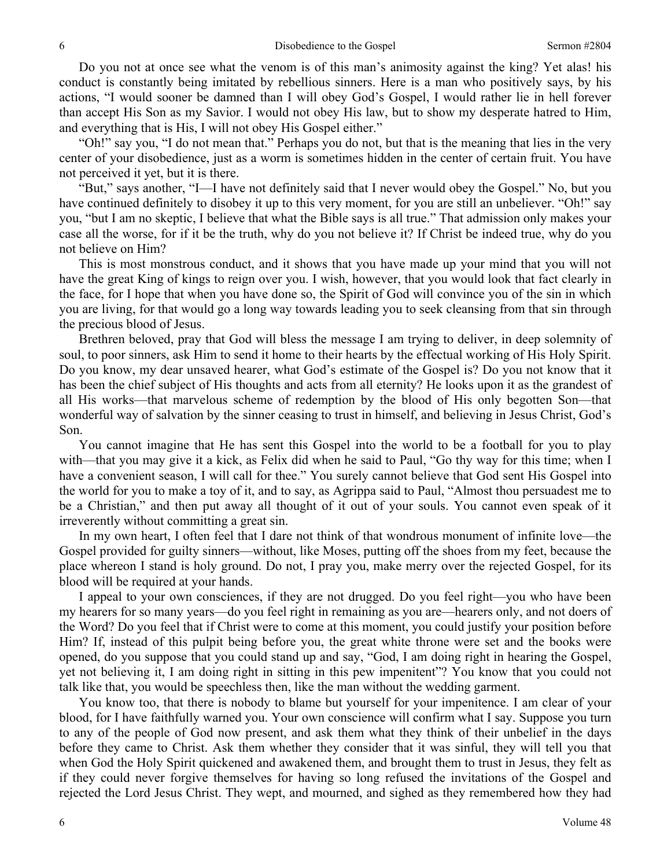Do you not at once see what the venom is of this man's animosity against the king? Yet alas! his conduct is constantly being imitated by rebellious sinners. Here is a man who positively says, by his actions, "I would sooner be damned than I will obey God's Gospel, I would rather lie in hell forever than accept His Son as my Savior. I would not obey His law, but to show my desperate hatred to Him, and everything that is His, I will not obey His Gospel either."

"Oh!" say you, "I do not mean that." Perhaps you do not, but that is the meaning that lies in the very center of your disobedience, just as a worm is sometimes hidden in the center of certain fruit. You have not perceived it yet, but it is there.

"But," says another, "I—I have not definitely said that I never would obey the Gospel." No, but you have continued definitely to disobey it up to this very moment, for you are still an unbeliever. "Oh!" say you, "but I am no skeptic, I believe that what the Bible says is all true." That admission only makes your case all the worse, for if it be the truth, why do you not believe it? If Christ be indeed true, why do you not believe on Him?

This is most monstrous conduct, and it shows that you have made up your mind that you will not have the great King of kings to reign over you. I wish, however, that you would look that fact clearly in the face, for I hope that when you have done so, the Spirit of God will convince you of the sin in which you are living, for that would go a long way towards leading you to seek cleansing from that sin through the precious blood of Jesus.

Brethren beloved, pray that God will bless the message I am trying to deliver, in deep solemnity of soul, to poor sinners, ask Him to send it home to their hearts by the effectual working of His Holy Spirit. Do you know, my dear unsaved hearer, what God's estimate of the Gospel is? Do you not know that it has been the chief subject of His thoughts and acts from all eternity? He looks upon it as the grandest of all His works—that marvelous scheme of redemption by the blood of His only begotten Son—that wonderful way of salvation by the sinner ceasing to trust in himself, and believing in Jesus Christ, God's Son.

You cannot imagine that He has sent this Gospel into the world to be a football for you to play with—that you may give it a kick, as Felix did when he said to Paul, "Go thy way for this time; when I have a convenient season, I will call for thee." You surely cannot believe that God sent His Gospel into the world for you to make a toy of it, and to say, as Agrippa said to Paul, "Almost thou persuadest me to be a Christian," and then put away all thought of it out of your souls. You cannot even speak of it irreverently without committing a great sin.

In my own heart, I often feel that I dare not think of that wondrous monument of infinite love—the Gospel provided for guilty sinners—without, like Moses, putting off the shoes from my feet, because the place whereon I stand is holy ground. Do not, I pray you, make merry over the rejected Gospel, for its blood will be required at your hands.

I appeal to your own consciences, if they are not drugged. Do you feel right—you who have been my hearers for so many years—do you feel right in remaining as you are—hearers only, and not doers of the Word? Do you feel that if Christ were to come at this moment, you could justify your position before Him? If, instead of this pulpit being before you, the great white throne were set and the books were opened, do you suppose that you could stand up and say, "God, I am doing right in hearing the Gospel, yet not believing it, I am doing right in sitting in this pew impenitent"? You know that you could not talk like that, you would be speechless then, like the man without the wedding garment.

You know too, that there is nobody to blame but yourself for your impenitence. I am clear of your blood, for I have faithfully warned you. Your own conscience will confirm what I say. Suppose you turn to any of the people of God now present, and ask them what they think of their unbelief in the days before they came to Christ. Ask them whether they consider that it was sinful, they will tell you that when God the Holy Spirit quickened and awakened them, and brought them to trust in Jesus, they felt as if they could never forgive themselves for having so long refused the invitations of the Gospel and rejected the Lord Jesus Christ. They wept, and mourned, and sighed as they remembered how they had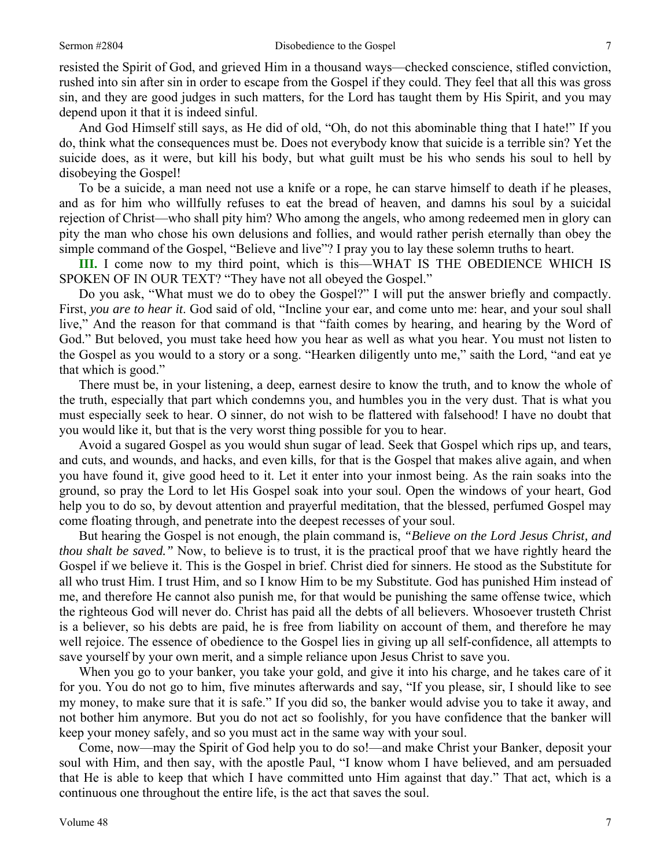resisted the Spirit of God, and grieved Him in a thousand ways—checked conscience, stifled conviction, rushed into sin after sin in order to escape from the Gospel if they could. They feel that all this was gross sin, and they are good judges in such matters, for the Lord has taught them by His Spirit, and you may depend upon it that it is indeed sinful.

And God Himself still says, as He did of old, "Oh, do not this abominable thing that I hate!" If you do, think what the consequences must be. Does not everybody know that suicide is a terrible sin? Yet the suicide does, as it were, but kill his body, but what guilt must be his who sends his soul to hell by disobeying the Gospel!

To be a suicide, a man need not use a knife or a rope, he can starve himself to death if he pleases, and as for him who willfully refuses to eat the bread of heaven, and damns his soul by a suicidal rejection of Christ—who shall pity him? Who among the angels, who among redeemed men in glory can pity the man who chose his own delusions and follies, and would rather perish eternally than obey the simple command of the Gospel, "Believe and live"? I pray you to lay these solemn truths to heart.

**III.** I come now to my third point, which is this—WHAT IS THE OBEDIENCE WHICH IS SPOKEN OF IN OUR TEXT? "They have not all obeyed the Gospel."

Do you ask, "What must we do to obey the Gospel?" I will put the answer briefly and compactly. First, *you are to hear it*. God said of old, "Incline your ear, and come unto me: hear, and your soul shall live," And the reason for that command is that "faith comes by hearing, and hearing by the Word of God." But beloved, you must take heed how you hear as well as what you hear. You must not listen to the Gospel as you would to a story or a song. "Hearken diligently unto me," saith the Lord, "and eat ye that which is good."

There must be, in your listening, a deep, earnest desire to know the truth, and to know the whole of the truth, especially that part which condemns you, and humbles you in the very dust. That is what you must especially seek to hear. O sinner, do not wish to be flattered with falsehood! I have no doubt that you would like it, but that is the very worst thing possible for you to hear.

Avoid a sugared Gospel as you would shun sugar of lead. Seek that Gospel which rips up, and tears, and cuts, and wounds, and hacks, and even kills, for that is the Gospel that makes alive again, and when you have found it, give good heed to it. Let it enter into your inmost being. As the rain soaks into the ground, so pray the Lord to let His Gospel soak into your soul. Open the windows of your heart, God help you to do so, by devout attention and prayerful meditation, that the blessed, perfumed Gospel may come floating through, and penetrate into the deepest recesses of your soul.

But hearing the Gospel is not enough, the plain command is, *"Believe on the Lord Jesus Christ, and thou shalt be saved."* Now, to believe is to trust, it is the practical proof that we have rightly heard the Gospel if we believe it. This is the Gospel in brief. Christ died for sinners. He stood as the Substitute for all who trust Him. I trust Him, and so I know Him to be my Substitute. God has punished Him instead of me, and therefore He cannot also punish me, for that would be punishing the same offense twice, which the righteous God will never do. Christ has paid all the debts of all believers. Whosoever trusteth Christ is a believer, so his debts are paid, he is free from liability on account of them, and therefore he may well rejoice. The essence of obedience to the Gospel lies in giving up all self-confidence, all attempts to save yourself by your own merit, and a simple reliance upon Jesus Christ to save you.

When you go to your banker, you take your gold, and give it into his charge, and he takes care of it for you. You do not go to him, five minutes afterwards and say, "If you please, sir, I should like to see my money, to make sure that it is safe." If you did so, the banker would advise you to take it away, and not bother him anymore. But you do not act so foolishly, for you have confidence that the banker will keep your money safely, and so you must act in the same way with your soul.

Come, now—may the Spirit of God help you to do so!—and make Christ your Banker, deposit your soul with Him, and then say, with the apostle Paul, "I know whom I have believed, and am persuaded that He is able to keep that which I have committed unto Him against that day." That act, which is a continuous one throughout the entire life, is the act that saves the soul.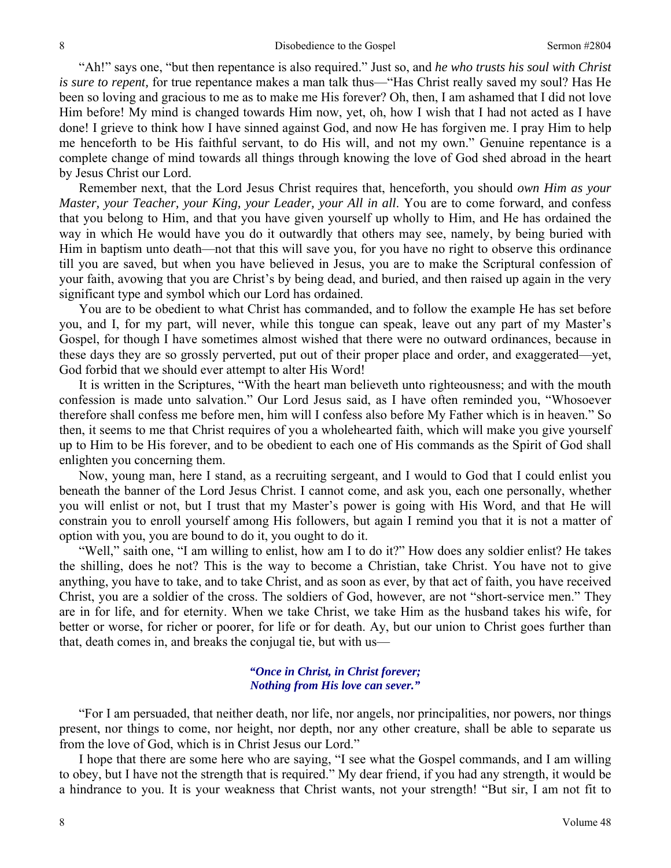"Ah!" says one, "but then repentance is also required." Just so, and *he who trusts his soul with Christ is sure to repent,* for true repentance makes a man talk thus—"Has Christ really saved my soul? Has He been so loving and gracious to me as to make me His forever? Oh, then, I am ashamed that I did not love Him before! My mind is changed towards Him now, yet, oh, how I wish that I had not acted as I have done! I grieve to think how I have sinned against God, and now He has forgiven me. I pray Him to help me henceforth to be His faithful servant, to do His will, and not my own." Genuine repentance is a complete change of mind towards all things through knowing the love of God shed abroad in the heart by Jesus Christ our Lord.

Remember next, that the Lord Jesus Christ requires that, henceforth, you should *own Him as your Master, your Teacher, your King, your Leader, your All in all*. You are to come forward, and confess that you belong to Him, and that you have given yourself up wholly to Him, and He has ordained the way in which He would have you do it outwardly that others may see, namely, by being buried with Him in baptism unto death—not that this will save you, for you have no right to observe this ordinance till you are saved, but when you have believed in Jesus, you are to make the Scriptural confession of your faith, avowing that you are Christ's by being dead, and buried, and then raised up again in the very significant type and symbol which our Lord has ordained.

You are to be obedient to what Christ has commanded, and to follow the example He has set before you, and I, for my part, will never, while this tongue can speak, leave out any part of my Master's Gospel, for though I have sometimes almost wished that there were no outward ordinances, because in these days they are so grossly perverted, put out of their proper place and order, and exaggerated—yet, God forbid that we should ever attempt to alter His Word!

It is written in the Scriptures, "With the heart man believeth unto righteousness; and with the mouth confession is made unto salvation." Our Lord Jesus said, as I have often reminded you, "Whosoever therefore shall confess me before men, him will I confess also before My Father which is in heaven." So then, it seems to me that Christ requires of you a wholehearted faith, which will make you give yourself up to Him to be His forever, and to be obedient to each one of His commands as the Spirit of God shall enlighten you concerning them.

Now, young man, here I stand, as a recruiting sergeant, and I would to God that I could enlist you beneath the banner of the Lord Jesus Christ. I cannot come, and ask you, each one personally, whether you will enlist or not, but I trust that my Master's power is going with His Word, and that He will constrain you to enroll yourself among His followers, but again I remind you that it is not a matter of option with you, you are bound to do it, you ought to do it.

"Well," saith one, "I am willing to enlist, how am I to do it?" How does any soldier enlist? He takes the shilling, does he not? This is the way to become a Christian, take Christ. You have not to give anything, you have to take, and to take Christ, and as soon as ever, by that act of faith, you have received Christ, you are a soldier of the cross. The soldiers of God, however, are not "short-service men." They are in for life, and for eternity. When we take Christ, we take Him as the husband takes his wife, for better or worse, for richer or poorer, for life or for death. Ay, but our union to Christ goes further than that, death comes in, and breaks the conjugal tie, but with us—

#### *"Once in Christ, in Christ forever; Nothing from His love can sever."*

"For I am persuaded, that neither death, nor life, nor angels, nor principalities, nor powers, nor things present, nor things to come, nor height, nor depth, nor any other creature, shall be able to separate us from the love of God, which is in Christ Jesus our Lord."

I hope that there are some here who are saying, "I see what the Gospel commands, and I am willing to obey, but I have not the strength that is required." My dear friend, if you had any strength, it would be a hindrance to you. It is your weakness that Christ wants, not your strength! "But sir, I am not fit to